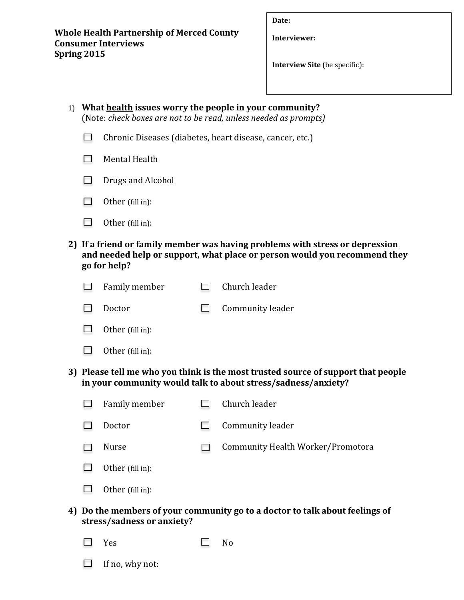**Whole Health Partnership of Merced County Consumer Interviews Spring 2015**

**Date:**

**Interviewer:**

**Interview Site** (be specific):

| 1) |                                                                                                                                                                            | What health issues worry the people in your community?<br>(Note: check boxes are not to be read, unless needed as prompts) |        |                                   |  |  |  |  |  |  |  |  |
|----|----------------------------------------------------------------------------------------------------------------------------------------------------------------------------|----------------------------------------------------------------------------------------------------------------------------|--------|-----------------------------------|--|--|--|--|--|--|--|--|
|    |                                                                                                                                                                            | Chronic Diseases (diabetes, heart disease, cancer, etc.)                                                                   |        |                                   |  |  |  |  |  |  |  |  |
|    |                                                                                                                                                                            | Mental Health                                                                                                              |        |                                   |  |  |  |  |  |  |  |  |
|    |                                                                                                                                                                            | Drugs and Alcohol                                                                                                          |        |                                   |  |  |  |  |  |  |  |  |
|    |                                                                                                                                                                            | Other (fill in):                                                                                                           |        |                                   |  |  |  |  |  |  |  |  |
|    |                                                                                                                                                                            | Other (fill in):                                                                                                           |        |                                   |  |  |  |  |  |  |  |  |
|    | 2) If a friend or family member was having problems with stress or depression<br>and needed help or support, what place or person would you recommend they<br>go for help? |                                                                                                                            |        |                                   |  |  |  |  |  |  |  |  |
|    |                                                                                                                                                                            | Family member                                                                                                              | $\Box$ | Church leader                     |  |  |  |  |  |  |  |  |
|    |                                                                                                                                                                            | Doctor                                                                                                                     |        | Community leader                  |  |  |  |  |  |  |  |  |
|    |                                                                                                                                                                            | Other (fill in):                                                                                                           |        |                                   |  |  |  |  |  |  |  |  |
|    |                                                                                                                                                                            | Other (fill in):                                                                                                           |        |                                   |  |  |  |  |  |  |  |  |
|    | 3) Please tell me who you think is the most trusted source of support that people<br>in your community would talk to about stress/sadness/anxiety?                         |                                                                                                                            |        |                                   |  |  |  |  |  |  |  |  |
|    |                                                                                                                                                                            | Family member                                                                                                              |        | Church leader                     |  |  |  |  |  |  |  |  |
|    |                                                                                                                                                                            | Doctor                                                                                                                     |        | Community leader                  |  |  |  |  |  |  |  |  |
|    |                                                                                                                                                                            | Nurse                                                                                                                      |        | Community Health Worker/Promotora |  |  |  |  |  |  |  |  |
|    |                                                                                                                                                                            | Other (fill in):                                                                                                           |        |                                   |  |  |  |  |  |  |  |  |
|    |                                                                                                                                                                            | Other (fill in):                                                                                                           |        |                                   |  |  |  |  |  |  |  |  |
| 4) | Do the members of your community go to a doctor to talk about feelings of<br>stress/sadness or anxiety?                                                                    |                                                                                                                            |        |                                   |  |  |  |  |  |  |  |  |
|    |                                                                                                                                                                            | Yes                                                                                                                        |        | N <sub>o</sub>                    |  |  |  |  |  |  |  |  |
|    |                                                                                                                                                                            | If no, why not:                                                                                                            |        |                                   |  |  |  |  |  |  |  |  |